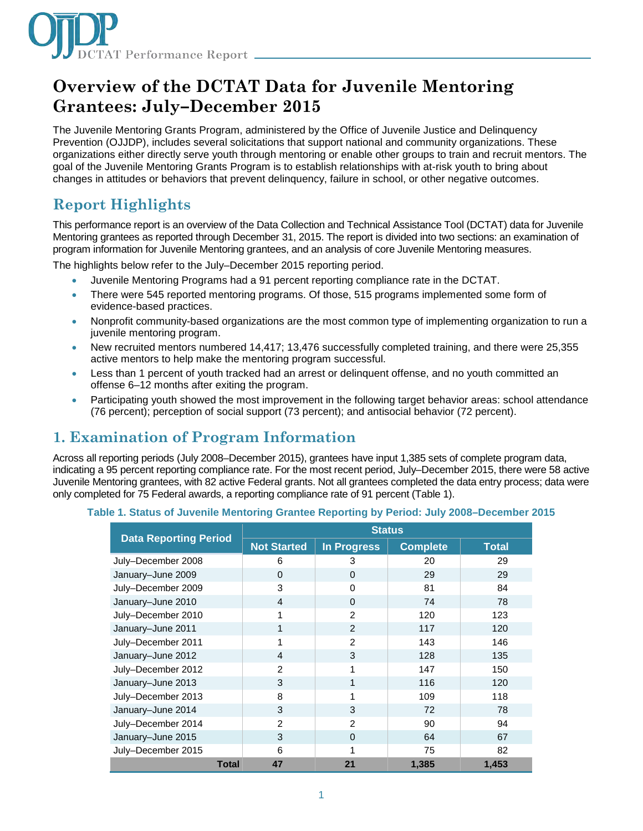

# **Overview of the DCTAT Data for Juvenile Mentoring Grantees: July–December 2015**

The Juvenile Mentoring Grants Program, administered by the Office of Juvenile Justice and Delinquency Prevention (OJJDP), includes several solicitations that support national and community organizations. These organizations either directly serve youth through mentoring or enable other groups to train and recruit mentors. The goal of the Juvenile Mentoring Grants Program is to establish relationships with at-risk youth to bring about changes in attitudes or behaviors that prevent delinquency, failure in school, or other negative outcomes.

## **Report Highlights**

This performance report is an overview of the Data Collection and Technical Assistance Tool (DCTAT) data for Juvenile Mentoring grantees as reported through December 31, 2015. The report is divided into two sections: an examination of program information for Juvenile Mentoring grantees, and an analysis of core Juvenile Mentoring measures.

The highlights below refer to the July–December 2015 reporting period.

- Juvenile Mentoring Programs had a 91 percent reporting compliance rate in the DCTAT.
- There were 545 reported mentoring programs. Of those, 515 programs implemented some form of evidence-based practices.
- Nonprofit community-based organizations are the most common type of implementing organization to run a juvenile mentoring program.
- New recruited mentors numbered 14,417; 13,476 successfully completed training, and there were 25,355 active mentors to help make the mentoring program successful.
- Less than 1 percent of youth tracked had an arrest or delinguent offense, and no youth committed an offense 6–12 months after exiting the program.
- Participating youth showed the most improvement in the following target behavior areas: school attendance (76 percent); perception of social support (73 percent); and antisocial behavior (72 percent).

## **1. Examination of Program Information**

Across all reporting periods (July 2008–December 2015), grantees have input 1,385 sets of complete program data, indicating a 95 percent reporting compliance rate. For the most recent period, July–December 2015, there were 58 active Juvenile Mentoring grantees, with 82 active Federal grants. Not all grantees completed the data entry process; data were only completed for 75 Federal awards, a reporting compliance rate of 91 percent (Table 1).

|                              |                    | <b>Status</b>      |                 |              |  |
|------------------------------|--------------------|--------------------|-----------------|--------------|--|
| <b>Data Reporting Period</b> | <b>Not Started</b> | <b>In Progress</b> | <b>Complete</b> | <b>Total</b> |  |
| July-December 2008           | 6                  | 3                  | 20              | 29           |  |
| January-June 2009            | $\Omega$           | $\Omega$           | 29              | 29           |  |
| July-December 2009           | 3                  | $\Omega$           | 81              | 84           |  |
| January-June 2010            | 4                  | 0                  | 74              | 78           |  |
| July-December 2010           | 1                  | $\overline{2}$     | 120             | 123          |  |
| January-June 2011            | 1                  | $\overline{2}$     | 117             | 120          |  |
| July-December 2011           | 1                  | $\overline{2}$     | 143             | 146          |  |
| January-June 2012            | 4                  | 3                  | 128             | 135          |  |
| July-December 2012           | $\overline{2}$     | 1                  | 147             | 150          |  |
| January-June 2013            | 3                  | 1                  | 116             | 120          |  |
| July-December 2013           | 8                  | 1                  | 109             | 118          |  |
| January-June 2014            | 3                  | 3                  | 72              | 78           |  |
| July-December 2014           | $\overline{2}$     | $\mathcal{P}$      | 90              | 94           |  |
| January-June 2015            | 3                  | $\Omega$           | 64              | 67           |  |
| July-December 2015           | 6                  |                    | 75              | 82           |  |
| <b>Total</b>                 | 47                 | 21                 | 1,385           | 1,453        |  |

### **Table 1. Status of Juvenile Mentoring Grantee Reporting by Period: July 2008–December 2015**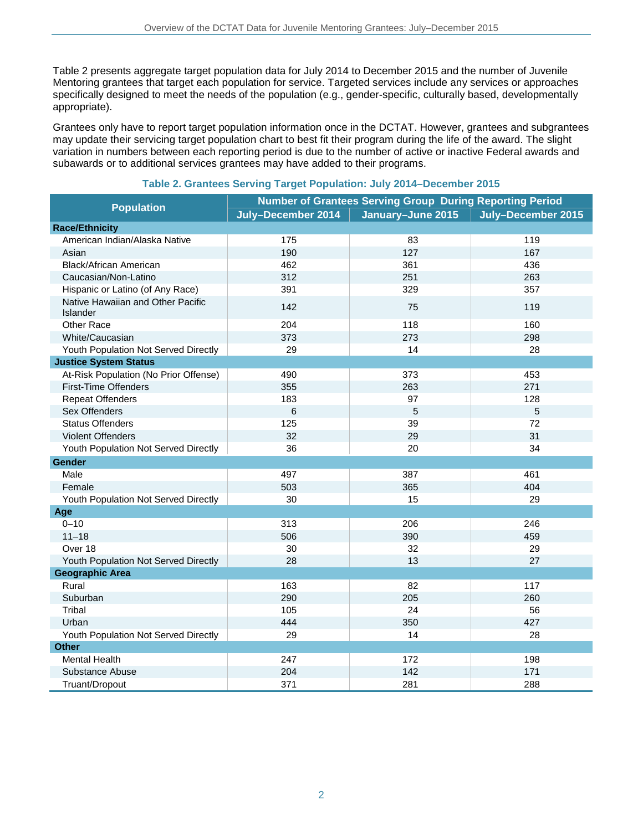Table 2 presents aggregate target population data for July 2014 to December 2015 and the number of Juvenile Mentoring grantees that target each population for service. Targeted services include any services or approaches specifically designed to meet the needs of the population (e.g., gender-specific, culturally based, developmentally appropriate).

Grantees only have to report target population information once in the DCTAT. However, grantees and subgrantees may update their servicing target population chart to best fit their program during the life of the award. The slight variation in numbers between each reporting period is due to the number of active or inactive Federal awards and subawards or to additional services grantees may have added to their programs.

| <b>Population</b>                             | <b>Number of Grantees Serving Group During Reporting Period</b> |                   |                    |  |
|-----------------------------------------------|-----------------------------------------------------------------|-------------------|--------------------|--|
|                                               | July-December 2014                                              | January-June 2015 | July-December 2015 |  |
| <b>Race/Ethnicity</b>                         |                                                                 |                   |                    |  |
| American Indian/Alaska Native                 | 175                                                             | 83                | 119                |  |
| Asian                                         | 190                                                             | 127               | 167                |  |
| <b>Black/African American</b>                 | 462                                                             | 361               | 436                |  |
| Caucasian/Non-Latino                          | 312                                                             | 251               | 263                |  |
| Hispanic or Latino (of Any Race)              | 391                                                             | 329               | 357                |  |
| Native Hawaiian and Other Pacific<br>Islander | 142                                                             | 75                | 119                |  |
| Other Race                                    | 204                                                             | 118               | 160                |  |
| White/Caucasian                               | 373                                                             | 273               | 298                |  |
| Youth Population Not Served Directly          | 29                                                              | 14                | 28                 |  |
| <b>Justice System Status</b>                  |                                                                 |                   |                    |  |
| At-Risk Population (No Prior Offense)         | 490                                                             | 373               | 453                |  |
| <b>First-Time Offenders</b>                   | 355                                                             | 263               | 271                |  |
| <b>Repeat Offenders</b>                       | 183                                                             | 97                | 128                |  |
| Sex Offenders                                 | 6                                                               | 5                 | 5                  |  |
| <b>Status Offenders</b>                       | 125                                                             | 39                | 72                 |  |
| <b>Violent Offenders</b>                      | 32                                                              | 29                | 31                 |  |
| Youth Population Not Served Directly          | 36                                                              | 20                | 34                 |  |
| Gender                                        |                                                                 |                   |                    |  |
| Male                                          | 497                                                             | 387               | 461                |  |
| Female                                        | 503                                                             | 365               | 404                |  |
| Youth Population Not Served Directly          | 30                                                              | 15                | 29                 |  |
| Age                                           |                                                                 |                   |                    |  |
| $0 - 10$                                      | 313                                                             | 206               | 246                |  |
| $11 - 18$                                     | 506                                                             | 390               | 459                |  |
| Over 18                                       | 30                                                              | 32                | 29                 |  |
| Youth Population Not Served Directly          | 28                                                              | 13                | 27                 |  |
| <b>Geographic Area</b>                        |                                                                 |                   |                    |  |
| Rural                                         | 163                                                             | 82                | 117                |  |
| Suburban                                      | 290                                                             | 205               | 260                |  |
| Tribal                                        | 105                                                             | 24                | 56                 |  |
| Urban                                         | 444                                                             | 350               | 427                |  |
| Youth Population Not Served Directly          | 29                                                              | 14                | 28                 |  |
| <b>Other</b>                                  |                                                                 |                   |                    |  |
| Mental Health                                 | 247                                                             | 172               | 198                |  |
| Substance Abuse                               | 204                                                             | 142               | 171                |  |
| Truant/Dropout                                | 371                                                             | 281               | 288                |  |

### **Table 2. Grantees Serving Target Population: July 2014–December 2015**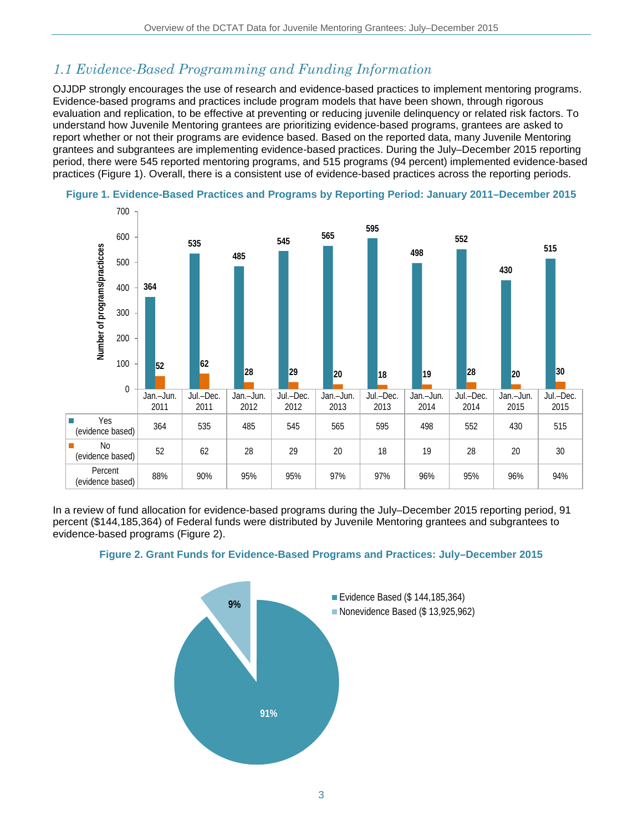## *1.1 Evidence-Based Programming and Funding Information*

OJJDP strongly encourages the use of research and evidence-based practices to implement mentoring programs. Evidence-based programs and practices include program models that have been shown, through rigorous evaluation and replication, to be effective at preventing or reducing juvenile delinquency or related risk factors. To understand how Juvenile Mentoring grantees are prioritizing evidence-based programs, grantees are asked to report whether or not their programs are evidence based. Based on the reported data, many Juvenile Mentoring grantees and subgrantees are implementing evidence-based practices. During the July–December 2015 reporting period, there were 545 reported mentoring programs, and 515 programs (94 percent) implemented evidence-based practices (Figure 1). Overall, there is a consistent use of evidence-based practices across the reporting periods.





In a review of fund allocation for evidence-based programs during the July–December 2015 reporting period, 91 percent (\$144,185,364) of Federal funds were distributed by Juvenile Mentoring grantees and subgrantees to evidence-based programs (Figure 2).



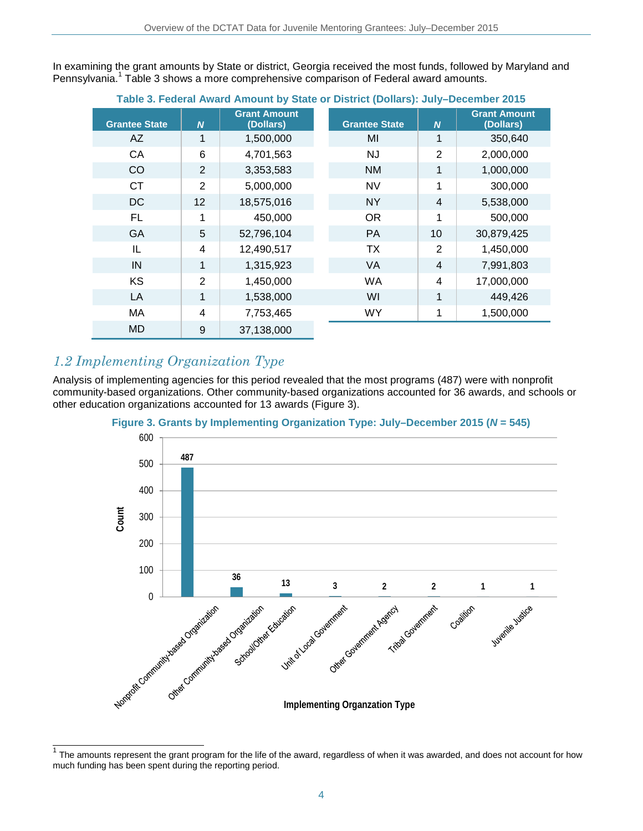In examining the grant amounts by State or district, Georgia received the most funds, followed by Maryland and Pennsylvania.<sup>1</sup> Table 3 shows a more comprehensive comparison of Federal award amounts.

| Table 3. Federal Award Amount by State or District (Dollars): July–December 2015 |                  |                                  |                      |                  |                                  |
|----------------------------------------------------------------------------------|------------------|----------------------------------|----------------------|------------------|----------------------------------|
| <b>Grantee State</b>                                                             | $\boldsymbol{N}$ | <b>Grant Amount</b><br>(Dollars) | <b>Grantee State</b> | $\boldsymbol{N}$ | <b>Grant Amount</b><br>(Dollars) |
| AZ                                                                               | $\mathbf{1}$     | 1,500,000                        | MI                   | $\mathbf 1$      | 350,640                          |
| CA                                                                               | 6                | 4,701,563                        | <b>NJ</b>            | $\overline{2}$   | 2,000,000                        |
| CO                                                                               | 2                | 3,353,583                        | NM                   | $\mathbf{1}$     | 1,000,000                        |
| <b>CT</b>                                                                        | $\overline{2}$   | 5,000,000                        | <b>NV</b>            | 1                | 300,000                          |
| <b>DC</b>                                                                        | 12               | 18,575,016                       | <b>NY</b>            | $\overline{4}$   | 5,538,000                        |
| <b>FL</b>                                                                        | 1                | 450,000                          | <b>OR</b>            | 1                | 500,000                          |
| GA                                                                               | 5                | 52,796,104                       | PA                   | 10               | 30,879,425                       |
| IL                                                                               | 4                | 12,490,517                       | <b>TX</b>            | 2                | 1,450,000                        |
| IN                                                                               | 1                | 1,315,923                        | <b>VA</b>            | $\overline{4}$   | 7,991,803                        |
| <b>KS</b>                                                                        | $\overline{2}$   | 1,450,000                        | <b>WA</b>            | 4                | 17,000,000                       |
| LA                                                                               | $\mathbf{1}$     | 1,538,000                        | WI                   | 1                | 449,426                          |
| МA                                                                               | 4                | 7,753,465                        | <b>WY</b>            | 1                | 1,500,000                        |
| MD                                                                               | 9                | 37,138,000                       |                      |                  |                                  |

### **Table 3. Federal Award Amount by State or District (Dollars): July–December 2015**

### *1.2 Implementing Organization Type*

Analysis of implementing agencies for this period revealed that the most programs (487) were with nonprofit community-based organizations. Other community-based organizations accounted for 36 awards, and schools or other education organizations accounted for 13 awards (Figure 3).





 $\mathbf{1}$ The amounts represent the grant program for the life of the award, regardless of when it was awarded, and does not account for how much funding has been spent during the reporting period.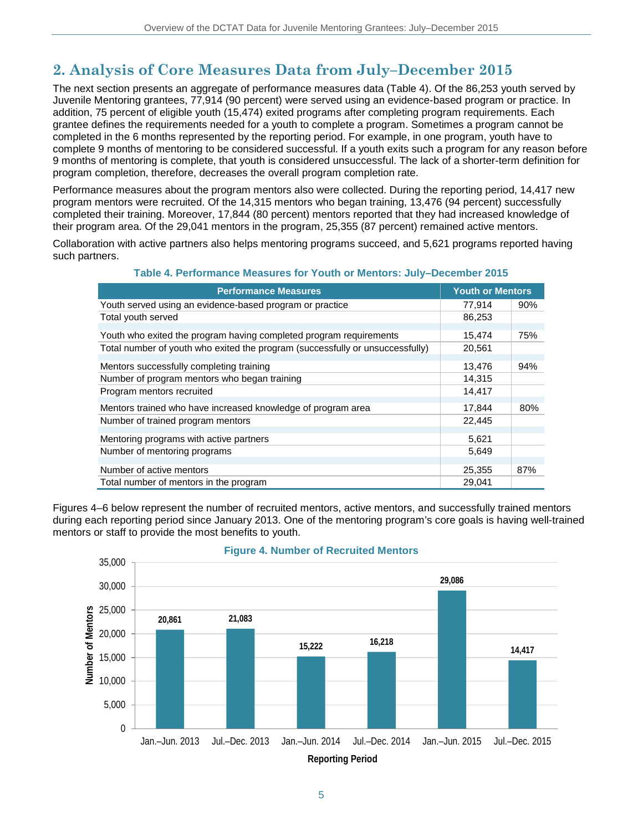# **2. Analysis of Core Measures Data from July–December 2015**

The next section presents an aggregate of performance measures data (Table 4). Of the 86,253 youth served by Juvenile Mentoring grantees, 77,914 (90 percent) were served using an evidence-based program or practice. In addition, 75 percent of eligible youth (15,474) exited programs after completing program requirements. Each grantee defines the requirements needed for a youth to complete a program. Sometimes a program cannot be completed in the 6 months represented by the reporting period. For example, in one program, youth have to complete 9 months of mentoring to be considered successful. If a youth exits such a program for any reason before 9 months of mentoring is complete, that youth is considered unsuccessful. The lack of a shorter-term definition for program completion, therefore, decreases the overall program completion rate.

Performance measures about the program mentors also were collected. During the reporting period, 14,417 new program mentors were recruited. Of the 14,315 mentors who began training, 13,476 (94 percent) successfully completed their training. Moreover, 17,844 (80 percent) mentors reported that they had increased knowledge of their program area. Of the 29,041 mentors in the program, 25,355 (87 percent) remained active mentors.

Collaboration with active partners also helps mentoring programs succeed, and 5,621 programs reported having such partners.

| <u>Favic 4. Ferrormance Measures for Touth of Mentors. July December 2019</u> |                         |     |  |
|-------------------------------------------------------------------------------|-------------------------|-----|--|
| <b>Performance Measures</b>                                                   | <b>Youth or Mentors</b> |     |  |
| Youth served using an evidence-based program or practice                      | 77.914                  | 90% |  |
| Total youth served                                                            | 86,253                  |     |  |
| Youth who exited the program having completed program requirements            | 15,474                  | 75% |  |
| Total number of youth who exited the program (successfully or unsuccessfully) | 20,561                  |     |  |
| Mentors successfully completing training                                      | 13,476                  | 94% |  |
| Number of program mentors who began training                                  | 14,315                  |     |  |
| Program mentors recruited                                                     | 14,417                  |     |  |
| Mentors trained who have increased knowledge of program area                  | 17,844                  | 80% |  |
| Number of trained program mentors                                             | 22,445                  |     |  |
| Mentoring programs with active partners                                       | 5,621                   |     |  |
| Number of mentoring programs                                                  | 5,649                   |     |  |
| Number of active mentors                                                      | 25,355                  | 87% |  |
| Total number of mentors in the program                                        | 29,041                  |     |  |

**Table 4. Performance Measures for Youth or Mentors: July–December 2015**

Figures 4–6 below represent the number of recruited mentors, active mentors, and successfully trained mentors during each reporting period since January 2013. One of the mentoring program's core goals is having well-trained mentors or staff to provide the most benefits to youth.



### **Figure 4. Number of Recruited Mentors**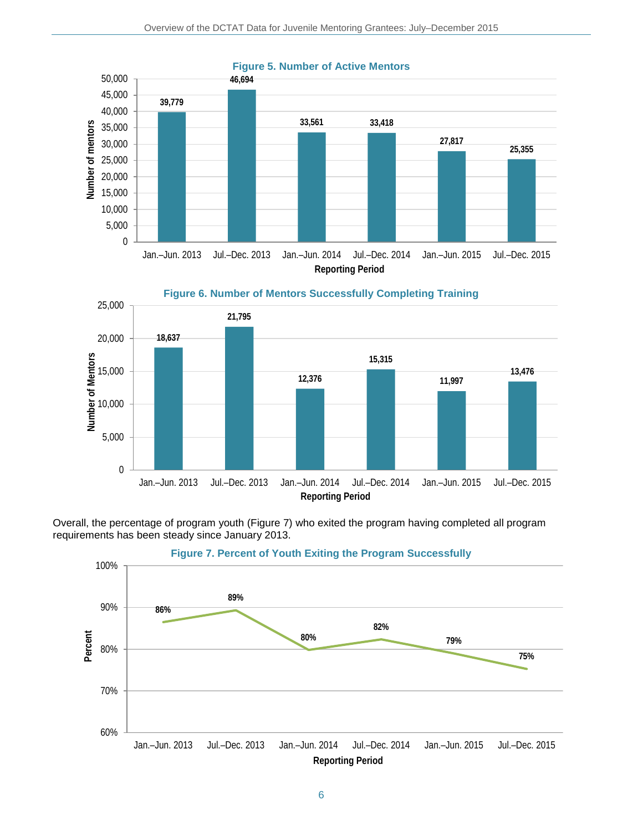





Overall, the percentage of program youth (Figure 7) who exited the program having completed all program requirements has been steady since January 2013.



**Figure 7. Percent of Youth Exiting the Program Successfully**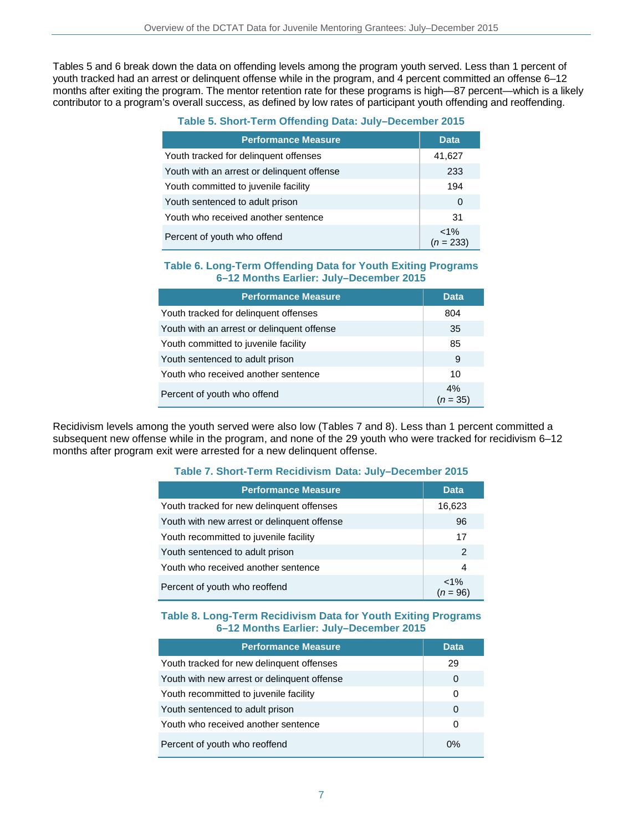Tables 5 and 6 break down the data on offending levels among the program youth served. Less than 1 percent of youth tracked had an arrest or delinquent offense while in the program, and 4 percent committed an offense 6–12 months after exiting the program. The mentor retention rate for these programs is high—87 percent—which is a likely contributor to a program's overall success, as defined by low rates of participant youth offending and reoffending.

| <b>Performance Measure</b>                 | <b>Data</b>            |
|--------------------------------------------|------------------------|
| Youth tracked for delinquent offenses      | 41,627                 |
| Youth with an arrest or delinguent offense | 233                    |
| Youth committed to juvenile facility       | 194                    |
| Youth sentenced to adult prison            | 0                      |
| Youth who received another sentence        | 31                     |
| Percent of youth who offend                | $< 1\%$<br>$(n = 233)$ |

### **Table 6. Long-Term Offending Data for Youth Exiting Programs 6–12 Months Earlier: July–December 2015**

| <b>Performance Measure</b>                 | <b>Data</b>      |
|--------------------------------------------|------------------|
| Youth tracked for delinguent offenses      | 804              |
| Youth with an arrest or delinguent offense | 35               |
| Youth committed to juvenile facility       | 85               |
| Youth sentenced to adult prison            | 9                |
| Youth who received another sentence        | 10               |
| Percent of youth who offend                | 4%<br>$(n = 35)$ |

Recidivism levels among the youth served were also low (Tables 7 and 8). Less than 1 percent committed a subsequent new offense while in the program, and none of the 29 youth who were tracked for recidivism 6-12 months after program exit were arrested for a new delinquent offense.

### **Table 7. Short-Term Recidivism Data: July–December 2015**

| <b>Performance Measure</b>                  | <b>Data</b>           |
|---------------------------------------------|-----------------------|
| Youth tracked for new delinguent offenses   | 16,623                |
| Youth with new arrest or delinquent offense | 96                    |
| Youth recommitted to juvenile facility      | 17                    |
| Youth sentenced to adult prison             | 2                     |
| Youth who received another sentence         | 4                     |
| Percent of youth who reoffend               | $< 1\%$<br>$(n = 96)$ |

#### **Table 8. Long-Term Recidivism Data for Youth Exiting Programs 6–12 Months Earlier: July–December 2015**

| <b>Performance Measure</b>                  | <b>Data</b> |
|---------------------------------------------|-------------|
| Youth tracked for new delinguent offenses   | 29          |
| Youth with new arrest or delinquent offense | 0           |
| Youth recommitted to juvenile facility      | 0           |
| Youth sentenced to adult prison             | 0           |
| Youth who received another sentence         | 0           |
| Percent of youth who reoffend               | 0%          |